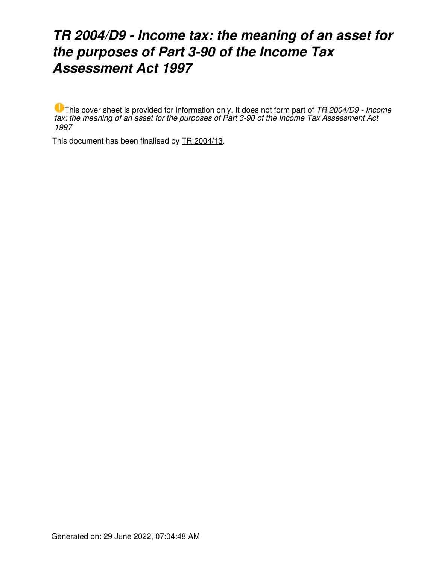# *TR 2004/D9 - Income tax: the meaning of an asset for the purposes of Part 3-90 of the Income Tax Assessment Act 1997*

This cover sheet is provided for information only. It does not form part of *TR 2004/D9 - Income tax: the meaning of an asset for the purposes of Part 3-90 of the Income Tax Assessment Act 1997*

This document has been finalised by [TR 2004/13](https://www.ato.gov.au/law/view/document?LocID=%22TXR%2FTR200413%2FNAT%2FATO%22&PiT=99991231235958).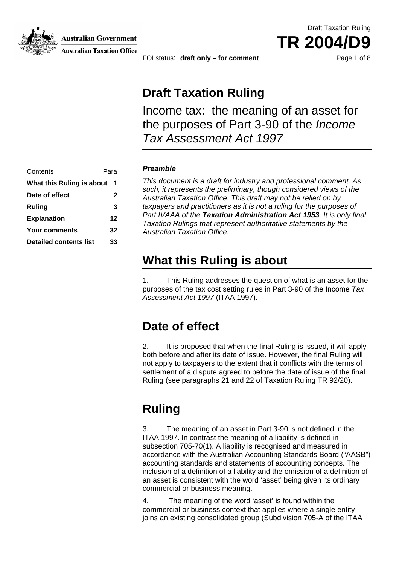Australian Government



**Australian Taxation Office** 

FOI status: **draft only – for comment** Page 1 of 8

Draft Taxation Ruling

TR 2004/

# **Draft Taxation Ruling**

Income tax: the meaning of an asset for the purposes of Part 3-90 of the *Income Tax Assessment Act 1997*

| Contents                      | Para         |
|-------------------------------|--------------|
| What this Ruling is about     | 1            |
| Date of effect                | $\mathbf{2}$ |
| Ruling                        | 3            |
| <b>Explanation</b>            | 12           |
| <b>Your comments</b>          | 32           |
| <b>Detailed contents list</b> | 33           |

#### **Preamble**

*This document is a draft for industry and professional comment. As such, it represents the preliminary, though considered views of the Australian Taxation Office. This draft may not be relied on by*  taxpayers and practitioners as it is not a ruling for the purposes of Part IVAAA of the **Taxation Administration Act 1953**. It is only final *Taxation Rulings that represent authoritative statements by the Australian Taxation Office.* 

# **What this Ruling is about**

1. This Ruling addresses the question of what is an asset for the purposes of the tax cost setting rules in Part 3-90 of the Income *Tax Assessment Act 1997* (ITAA 1997).

## **Date of effect**

2. It is proposed that when the final Ruling is issued, it will apply both before and after its date of issue. However, the final Ruling will not apply to taxpayers to the extent that it conflicts with the terms of settlement of a dispute agreed to before the date of issue of the final Ruling (see paragraphs 21 and 22 of Taxation Ruling TR 92/20).

# **Ruling**

3. The meaning of an asset in Part 3-90 is not defined in the ITAA 1997. In contrast the meaning of a liability is defined in subsection 705-70(1). A liability is recognised and measured in accordance with the Australian Accounting Standards Board ("AASB") accounting standards and statements of accounting concepts. The inclusion of a definition of a liability and the omission of a definition of an asset is consistent with the word 'asset' being given its ordinary commercial or business meaning.

4. The meaning of the word 'asset' is found within the commercial or business context that applies where a single entity joins an existing consolidated group (Subdivision 705-A of the ITAA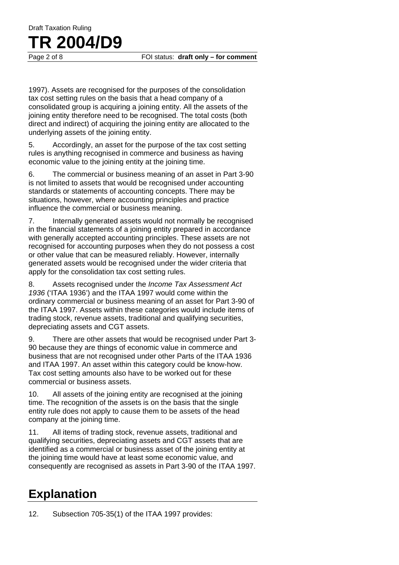# Draft Taxation Ruling **TR 2004/D9**

Page 2 of 8 FOI status: **draft only – for comment** 

1997). Assets are recognised for the purposes of the consolidation tax cost setting rules on the basis that a head company of a consolidated group is acquiring a joining entity. All the assets of the joining entity therefore need to be recognised. The total costs (both direct and indirect) of acquiring the joining entity are allocated to the underlying assets of the joining entity.

5. Accordingly, an asset for the purpose of the tax cost setting rules is anything recognised in commerce and business as having economic value to the joining entity at the joining time.

6. The commercial or business meaning of an asset in Part 3-90 is not limited to assets that would be recognised under accounting standards or statements of accounting concepts. There may be situations, however, where accounting principles and practice influence the commercial or business meaning.

7. Internally generated assets would not normally be recognised in the financial statements of a joining entity prepared in accordance with generally accepted accounting principles. These assets are not recognised for accounting purposes when they do not possess a cost or other value that can be measured reliably. However, internally generated assets would be recognised under the wider criteria that apply for the consolidation tax cost setting rules.

8. Assets recognised under the *Income Tax Assessment Act 1936* ('ITAA 1936') and the ITAA 1997 would come within the ordinary commercial or business meaning of an asset for Part 3-90 of the ITAA 1997. Assets within these categories would include items of trading stock, revenue assets, traditional and qualifying securities, depreciating assets and CGT assets.

9. There are other assets that would be recognised under Part 3- 90 because they are things of economic value in commerce and business that are not recognised under other Parts of the ITAA 1936 and ITAA 1997. An asset within this category could be know-how. Tax cost setting amounts also have to be worked out for these commercial or business assets.

10. All assets of the joining entity are recognised at the joining time. The recognition of the assets is on the basis that the single entity rule does not apply to cause them to be assets of the head company at the joining time.

11. All items of trading stock, revenue assets, traditional and qualifying securities, depreciating assets and CGT assets that are identified as a commercial or business asset of the joining entity at the joining time would have at least some economic value, and consequently are recognised as assets in Part 3-90 of the ITAA 1997.

# **Explanation**

12. Subsection 705-35(1) of the ITAA 1997 provides: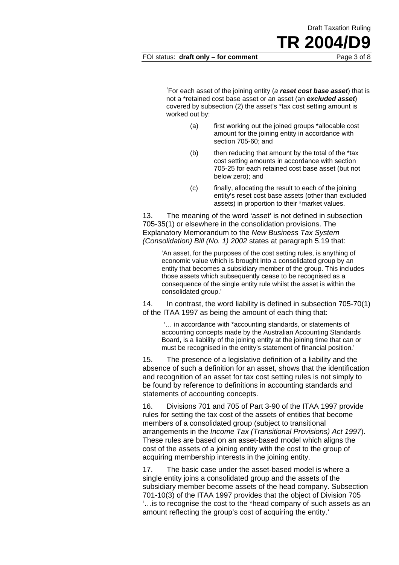FOI status: **draft only – for comment** Page 3 of 8

Draft Taxation Ruling

TR 2004/

'For each asset of the joining entity (*a reset cost base asset*) that is not a \*retained cost base asset or an asset (an *excluded asset*) covered by subsection (2) the asset's \*tax cost setting amount is worked out by:

- (a) first working out the joined groups \*allocable cost amount for the joining entity in accordance with section 705-60; and
- (b) then reducing that amount by the total of the \*tax cost setting amounts in accordance with section 705-25 for each retained cost base asset (but not below zero); and
- (c) finally, allocating the result to each of the joining entity's reset cost base assets (other than excluded assets) in proportion to their \*market values.

13. The meaning of the word 'asset' is not defined in subsection 705-35(1) or elsewhere in the consolidation provisions. The Explanatory Memorandum to the *New Business Tax System (Consolidation) Bill (No. 1) 2002* states at paragraph 5.19 that:

'An asset, for the purposes of the cost setting rules, is anything of economic value which is brought into a consolidated group by an entity that becomes a subsidiary member of the group. This includes those assets which subsequently cease to be recognised as a consequence of the single entity rule whilst the asset is within the consolidated group.'

14. In contrast, the word liability is defined in subsection 705-70(1) of the ITAA 1997 as being the amount of each thing that:

'… in accordance with \*accounting standards, or statements of accounting concepts made by the Australian Accounting Standards Board, is a liability of the joining entity at the joining time that can or must be recognised in the entity's statement of financial position.'

15. The presence of a legislative definition of a liability and the absence of such a definition for an asset, shows that the identification and recognition of an asset for tax cost setting rules is not simply to be found by reference to definitions in accounting standards and statements of accounting concepts.

16. Divisions 701 and 705 of Part 3-90 of the ITAA 1997 provide rules for setting the tax cost of the assets of entities that become members of a consolidated group (subject to transitional arrangements in the *Income Tax (Transitional Provisions) Act 1997*). These rules are based on an asset-based model which aligns the cost of the assets of a joining entity with the cost to the group of acquiring membership interests in the joining entity.

17. The basic case under the asset-based model is where a single entity joins a consolidated group and the assets of the subsidiary member become assets of the head company. Subsection 701-10(3) of the ITAA 1997 provides that the object of Division 705 '…is to recognise the cost to the \*head company of such assets as an amount reflecting the group's cost of acquiring the entity.'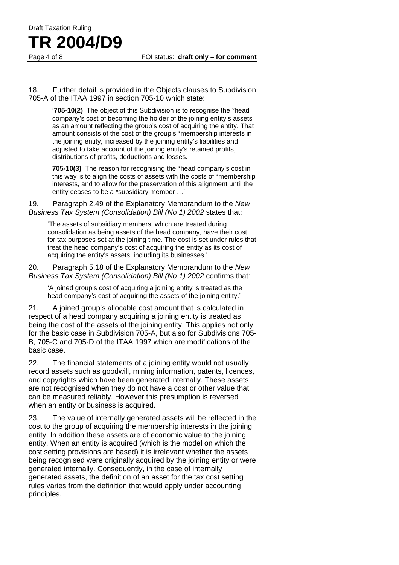## Draft Taxation Ruling **TR 2004/D9**

Page 4 of 8 FOI status: **draft only – for comment** 

18. Further detail is provided in the Objects clauses to Subdivision 705-A of the ITAA 1997 in section 705-10 which state:

> '**705-10(2)** The object of this Subdivision is to recognise the \*head company's cost of becoming the holder of the joining entity's assets as an amount reflecting the group's cost of acquiring the entity. That amount consists of the cost of the group's \*membership interests in the joining entity, increased by the joining entity's liabilities and adjusted to take account of the joining entity's retained profits, distributions of profits, deductions and losses.

> **705-10(3)** The reason for recognising the \*head company's cost in this way is to align the costs of assets with the costs of \*membership interests, and to allow for the preservation of this alignment until the entity ceases to be a \*subsidiary member …'

19. Paragraph 2.49 of the Explanatory Memorandum to the *New Business Tax System (Consolidation) Bill (No 1) 2002* states that:

'The assets of subsidiary members, which are treated during consolidation as being assets of the head company, have their cost for tax purposes set at the joining time. The cost is set under rules that treat the head company's cost of acquiring the entity as its cost of acquiring the entity's assets, including its businesses.'

20. Paragraph 5.18 of the Explanatory Memorandum to the *New Business Tax System (Consolidation) Bill (No 1) 2002* confirms that:

'A joined group's cost of acquiring a joining entity is treated as the head company's cost of acquiring the assets of the joining entity.'

21. A joined group's allocable cost amount that is calculated in respect of a head company acquiring a joining entity is treated as being the cost of the assets of the joining entity. This applies not only for the basic case in Subdivision 705-A, but also for Subdivisions 705- B, 705-C and 705-D of the ITAA 1997 which are modifications of the basic case.

22. The financial statements of a joining entity would not usually record assets such as goodwill, mining information, patents, licences, and copyrights which have been generated internally. These assets are not recognised when they do not have a cost or other value that can be measured reliably. However this presumption is reversed when an entity or business is acquired.

23. The value of internally generated assets will be reflected in the cost to the group of acquiring the membership interests in the joining entity. In addition these assets are of economic value to the joining entity. When an entity is acquired (which is the model on which the cost setting provisions are based) it is irrelevant whether the assets being recognised were originally acquired by the joining entity or were generated internally. Consequently, in the case of internally generated assets, the definition of an asset for the tax cost setting rules varies from the definition that would apply under accounting principles.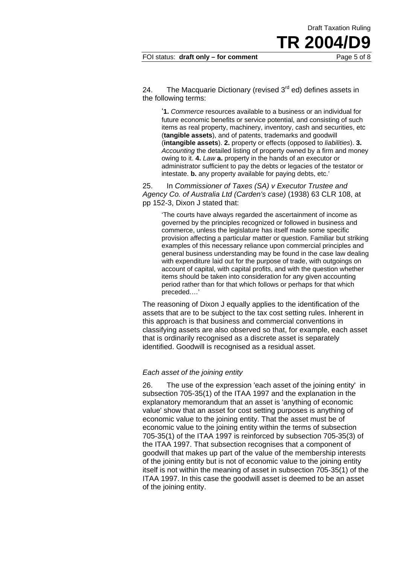Draft Taxation Ruling

TR 2004

24. The Macquarie Dictionary (revised  $3<sup>rd</sup>$  ed) defines assets in the following terms:

'**1.** *Commerce* resources available to a business or an individual for future economic benefits or service potential, and consisting of such items as real property, machinery, inventory, cash and securities, etc (**tangible assets**), and of patents, trademarks and goodwill (**intangible assets**). **2.** property or effects (opposed to *liabilities*). **3.** *Accounting* the detailed listing of property owned by a firm and money owing to it. **4.** *Law* **a.** property in the hands of an executor or administrator sufficient to pay the debts or legacies of the testator or intestate. **b.** any property available for paying debts, etc.'

25. In *Commissioner of Taxes (SA) v Executor Trustee and Agency Co. of Australia Ltd (Carden's case)* (1938) 63 CLR 108, at pp 152-3, Dixon J stated that:

'The courts have always regarded the ascertainment of income as governed by the principles recognized or followed in business and commerce, unless the legislature has itself made some specific provision affecting a particular matter or question. Familiar but striking examples of this necessary reliance upon commercial principles and general business understanding may be found in the case law dealing with expenditure laid out for the purpose of trade, with outgoings on account of capital, with capital profits, and with the question whether items should be taken into consideration for any given accounting period rather than for that which follows or perhaps for that which preceded.…'

The reasoning of Dixon J equally applies to the identification of the assets that are to be subject to the tax cost setting rules. Inherent in this approach is that business and commercial conventions in classifying assets are also observed so that, for example, each asset that is ordinarily recognised as a discrete asset is separately identified. Goodwill is recognised as a residual asset.

#### *Each asset of the joining entity*

26. The use of the expression 'each asset of the joining entity' in subsection 705-35(1) of the ITAA 1997 and the explanation in the explanatory memorandum that an asset is 'anything of economic value' show that an asset for cost setting purposes is anything of economic value to the joining entity. That the asset must be of economic value to the joining entity within the terms of subsection 705-35(1) of the ITAA 1997 is reinforced by subsection 705-35(3) of the ITAA 1997. That subsection recognises that a component of goodwill that makes up part of the value of the membership interests of the joining entity but is not of economic value to the joining entity itself is not within the meaning of asset in subsection 705-35(1) of the ITAA 1997. In this case the goodwill asset is deemed to be an asset of the joining entity.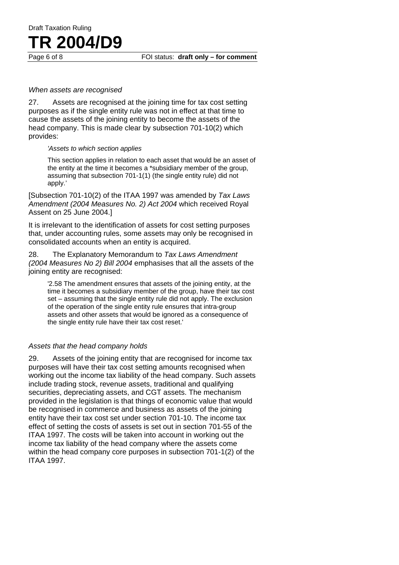# Draft Taxation Ruling **TR 2004/D9**

#### *When assets are recognised*

27. Assets are recognised at the joining time for tax cost setting purposes as if the single entity rule was not in effect at that time to cause the assets of the joining entity to become the assets of the head company. This is made clear by subsection 701-10(2) which provides:

#### *'Assets to which section applies*

This section applies in relation to each asset that would be an asset of the entity at the time it becomes a \*subsidiary member of the group, assuming that subsection 701-1(1) (the single entity rule) did not apply.'

[Subsection 701-10(2) of the ITAA 1997 was amended by *Tax Laws Amendment (2004 Measures No. 2) Act 2004* which received Royal Assent on 25 June 2004.]

It is irrelevant to the identification of assets for cost setting purposes that, under accounting rules, some assets may only be recognised in consolidated accounts when an entity is acquired.

28. The Explanatory Memorandum to *Tax Laws Amendment (2004 Measures No 2) Bill 2004* emphasises that all the assets of the joining entity are recognised:

'2.58 The amendment ensures that assets of the joining entity, at the time it becomes a subsidiary member of the group, have their tax cost set – assuming that the single entity rule did not apply. The exclusion of the operation of the single entity rule ensures that intra-group assets and other assets that would be ignored as a consequence of the single entity rule have their tax cost reset.'

#### *Assets that the head company holds*

29. Assets of the joining entity that are recognised for income tax purposes will have their tax cost setting amounts recognised when working out the income tax liability of the head company. Such assets include trading stock, revenue assets, traditional and qualifying securities, depreciating assets, and CGT assets. The mechanism provided in the legislation is that things of economic value that would be recognised in commerce and business as assets of the joining entity have their tax cost set under section 701-10. The income tax effect of setting the costs of assets is set out in section 701-55 of the ITAA 1997. The costs will be taken into account in working out the income tax liability of the head company where the assets come within the head company core purposes in subsection 701-1(2) of the ITAA 1997.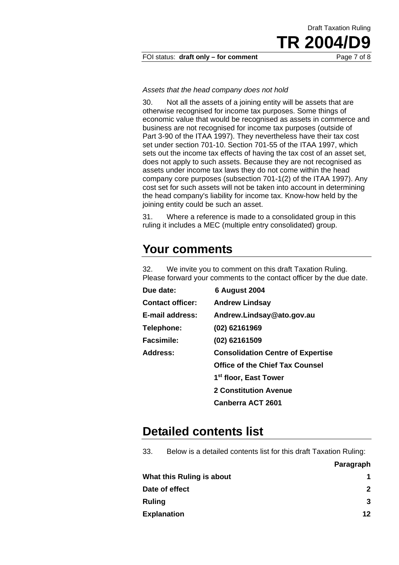FOI status: draft only - for comment Page 7 of 8

*Assets that the head company does not hold* 

30. Not all the assets of a joining entity will be assets that are otherwise recognised for income tax purposes. Some things of economic value that would be recognised as assets in commerce and business are not recognised for income tax purposes (outside of Part 3-90 of the ITAA 1997). They nevertheless have their tax cost set under section 701-10. Section 701-55 of the ITAA 1997, which sets out the income tax effects of having the tax cost of an asset set, does not apply to such assets. Because they are not recognised as assets under income tax laws they do not come within the head company core purposes (subsection 701-1(2) of the ITAA 1997). Any cost set for such assets will not be taken into account in determining the head company's liability for income tax. Know-how held by the joining entity could be such an asset.

31. Where a reference is made to a consolidated group in this ruling it includes a MEC (multiple entry consolidated) group.

# **Your comments**

32. We invite you to comment on this draft Taxation Ruling. Please forward your comments to the contact officer by the due date.

| Due date:               | <b>6 August 2004</b>                     |
|-------------------------|------------------------------------------|
| <b>Contact officer:</b> | <b>Andrew Lindsay</b>                    |
| E-mail address:         | Andrew.Lindsay@ato.gov.au                |
| Telephone:              | (02) 62161969                            |
| <b>Facsimile:</b>       | (02) 62161509                            |
| Address:                | <b>Consolidation Centre of Expertise</b> |
|                         | <b>Office of the Chief Tax Counsel</b>   |
|                         | 1 <sup>st</sup> floor, East Tower        |
|                         | <b>2 Constitution Avenue</b>             |
|                         | <b>Canberra ACT 2601</b>                 |

## **Detailed contents list**

33. Below is a detailed contents list for this draft Taxation Ruling:

| What this Ruling is about |                 |
|---------------------------|-----------------|
| Date of effect            | 2               |
| Ruling                    | 3               |
| <b>Explanation</b>        | 12 <sub>1</sub> |
|                           |                 |

**Paragraph** 

Draft Taxation Ruling

TR 2004/